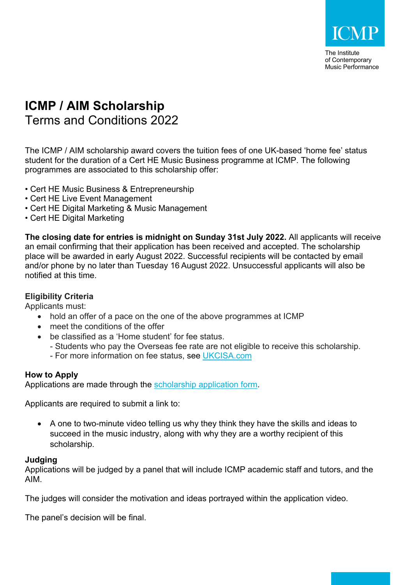

The Institute of Contemporary Music Performance

# **ICMP / AIM Scholarship** Terms and Conditions 2022

The ICMP / AIM scholarship award covers the tuition fees of one UK-based 'home fee' status student for the duration of a Cert HE Music Business programme at ICMP. The following programmes are associated to this scholarship offer:

- Cert HE Music Business & Entrepreneurship
- Cert HE Live Event Management
- Cert HE Digital Marketing & Music Management
- Cert HE Digital Marketing

**The closing date for entries is midnight on Sunday 31st July 2022.** All applicants will receive an email confirming that their application has been received and accepted. The scholarship place will be awarded in early August 2022. Successful recipients will be contacted by email and/or phone by no later than Tuesday 16 August 2022. Unsuccessful applicants will also be notified at this time.

## **Eligibility Criteria**

Applicants must:

- hold an offer of a pace on the one of the above programmes at ICMP
- meet the conditions of the offer
- be classified as a 'Home student' for fee status.
	- Students who pay the Overseas fee rate are not eligible to receive this scholarship.
	- For more information on fee status, see UKCISA.com

# **How to Apply**

Applications are made through the scholarship application form.

Applicants are required to submit a link to:

• A one to two-minute video telling us why they think they have the skills and ideas to succeed in the music industry, along with why they are a worthy recipient of this scholarship.

#### **Judging**

Applications will be judged by a panel that will include ICMP academic staff and tutors, and the AIM.

The judges will consider the motivation and ideas portrayed within the application video.

The panel's decision will be final.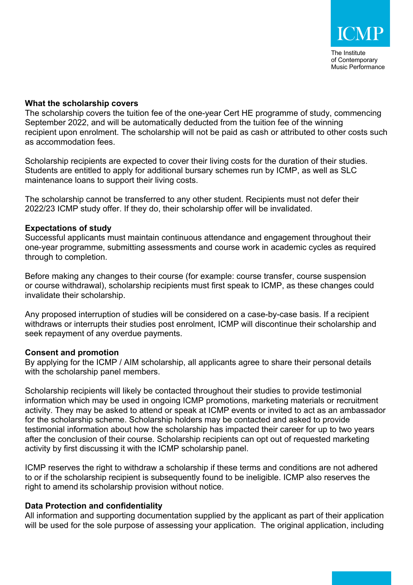## **What the scholarship covers**

The scholarship covers the tuition fee of the one-year Cert HE programme of study, commencing September 2022, and will be automatically deducted from the tuition fee of the winning recipient upon enrolment. The scholarship will not be paid as cash or attributed to other costs such as accommodation fees.

Scholarship recipients are expected to cover their living costs for the duration of their studies. Students are entitled to apply for additional bursary schemes run by ICMP, as well as SLC maintenance loans to support their living costs.

The scholarship cannot be transferred to any other student. Recipients must not defer their 2022/23 ICMP study offer. If they do, their scholarship offer will be invalidated.

#### **Expectations of study**

Successful applicants must maintain continuous attendance and engagement throughout their one-year programme, submitting assessments and course work in academic cycles as required through to completion.

Before making any changes to their course (for example: course transfer, course suspension or course withdrawal), scholarship recipients must first speak to ICMP, as these changes could invalidate their scholarship.

Any proposed interruption of studies will be considered on a case-by-case basis. If a recipient withdraws or interrupts their studies post enrolment, ICMP will discontinue their scholarship and seek repayment of any overdue payments.

#### **Consent and promotion**

By applying for the ICMP / AIM scholarship, all applicants agree to share their personal details with the scholarship panel members.

Scholarship recipients will likely be contacted throughout their studies to provide testimonial information which may be used in ongoing ICMP promotions, marketing materials or recruitment activity. They may be asked to attend or speak at ICMP events or invited to act as an ambassador for the scholarship scheme. Scholarship holders may be contacted and asked to provide testimonial information about how the scholarship has impacted their career for up to two years after the conclusion of their course. Scholarship recipients can opt out of requested marketing activity by first discussing it with the ICMP scholarship panel.

ICMP reserves the right to withdraw a scholarship if these terms and conditions are not adhered to or if the scholarship recipient is subsequently found to be ineligible. ICMP also reserves the right to amend its scholarship provision without notice.

# **Data Protection and confidentiality**

All information and supporting documentation supplied by the applicant as part of their application will be used for the sole purpose of assessing your application. The original application, including